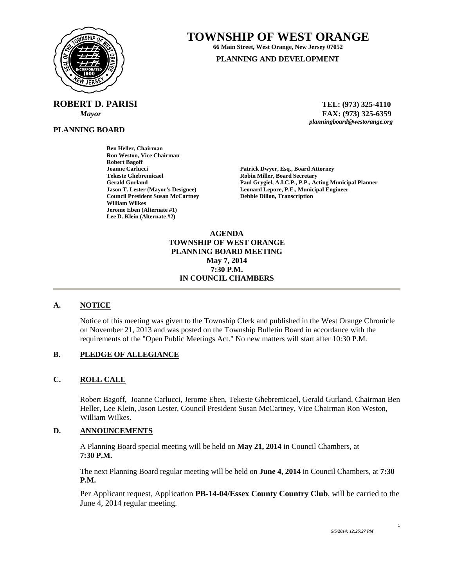

**ROBERT D. PARISI TEL: (973) 325-4110** 

**PLANNING BOARD**

# **TOWNSHIP OF WEST ORANGE**

**66 Main Street, West Orange, New Jersey 07052 PLANNING AND DEVELOPMENT**

 *Mayor* **FAX: (973) 325-6359** *planningboard@westorange.org* 

**Ben Heller, Chairman Ron Weston, Vice Chairman Robert Bagoff Joanne Carlucci Patrick Dwyer, Esq., Board Attorney Patrick Dwyer, Esq., Board Attorney Tekeste Ghebremicael and Secretary Cerald Gurland Control Cerald Gurland Cerald Gurland Cerald Gurland Cerald Allen Access Cerald Allen Access Cerald Allen Access Cerald Allen Access Cerald Allen Access Cerald Allen Acces Council President Susan McCartney William Wilkes Jerome Eben (Alternate #1) Lee D. Klein (Alternate #2)** 

Gerald Gurland **Paul Grygiel, A.I.C.P., P.P., Acting Municipal Planner**<br> **Paul Grygiel, A.I.C.P., P.P., Acting Municipal Planner**<br> **Leonard Lepore, P.E., Municipal Engineer Leonard Lepore, P.E., Municipal Engineer Debbie Dillon, Transcription** 

> **AGENDA TOWNSHIP OF WEST ORANGE PLANNING BOARD MEETING May 7, 2014 7:30 P.M. IN COUNCIL CHAMBERS**

# **A. NOTICE**

Notice of this meeting was given to the Township Clerk and published in the West Orange Chronicle on November 21, 2013 and was posted on the Township Bulletin Board in accordance with the requirements of the "Open Public Meetings Act." No new matters will start after 10:30 P.M.

# **B. PLEDGE OF ALLEGIANCE**

# **C. ROLL CALL**

Robert Bagoff, Joanne Carlucci, Jerome Eben, Tekeste Ghebremicael, Gerald Gurland, Chairman Ben Heller, Lee Klein, Jason Lester, Council President Susan McCartney, Vice Chairman Ron Weston, William Wilkes.

# **D. ANNOUNCEMENTS**

A Planning Board special meeting will be held on **May 21, 2014** in Council Chambers, at **7:30 P.M.** 

The next Planning Board regular meeting will be held on **June 4, 2014** in Council Chambers, at **7:30 P.M.** 

Per Applicant request, Application **PB-14-04/Essex County Country Club**, will be carried to the June 4, 2014 regular meeting.

1